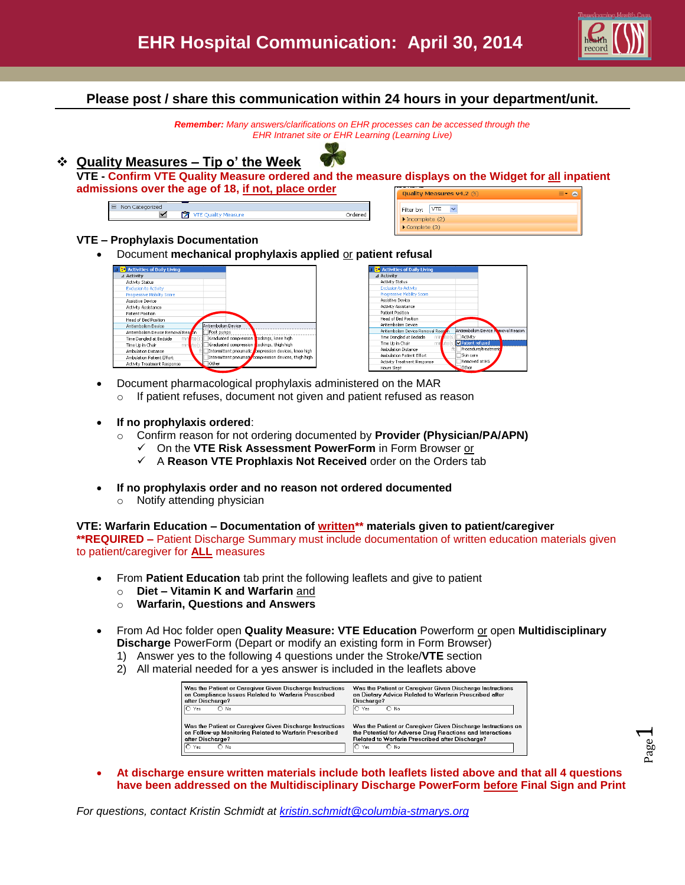

### **Please post / share this communication within 24 hours in your department/unit.**

*Remember: Many answers/clarifications on EHR processes can be accessed through the EHR Intranet site or EHR Learning (Learning Live)*

## **Quality Measures – Tip o' the Week**



**VTE - Confirm VTE Quality Measure ordered and the measure displays on the Widget for all inpatient admissions over the age of 18, if not, place order**

| <b>Lacegorized</b><br>NOF |            |  |
|---------------------------|------------|--|
|                           | æ<br>asure |  |

| Quality Measures v4.2 (5)            |  |  |  |
|--------------------------------------|--|--|--|
| Filter by: VTE                       |  |  |  |
| $\blacktriangleright$ Incomplete (2) |  |  |  |
| $\triangleright$ Complete (3)        |  |  |  |
|                                      |  |  |  |

#### **VTE – Prophylaxis Documentation**

Document **mechanical prophylaxis applied** or **patient refusal**



| <b>BE</b> Activities of Daily Living   |                                    |
|----------------------------------------|------------------------------------|
| ⊿ Activity                             |                                    |
| <b>Activity Status</b>                 |                                    |
| <b>Exclusion to Activity</b>           |                                    |
| Progressive Mobility Score             |                                    |
| Assistive Device                       |                                    |
| Activity Assistance                    |                                    |
| Patient Position                       |                                    |
| Head of Bed Position                   |                                    |
| Antiembolism Device                    |                                    |
| Antiembolism Device Removal Reaso      | Antiembolism Device Namoval Reason |
| Time Dangled at Bedside<br>min<br>teís | Activity                           |
| Time Up in Chair                       | mir ute(s) Patient refused         |
| <b>Ambulation Distance</b>             | Procedure/treatment                |
| Amhulation Patient Effort              | Skin care                          |
| Activity Treatment Response            | Removed at HS                      |
| Hours Slept                            | Other                              |

- Document pharmacological prophylaxis administered on the MAR
	- o If patient refuses, document not given and patient refused as reason
- **If no prophylaxis ordered**:
	- Confirm reason for not ordering documented by **Provider (Physician/PA/APN)** 
		- On the **VTE Risk Assessment PowerForm** in Form Browser or
		- A **Reason VTE Prophlaxis Not Received** order on the Orders tab
- **If no prophylaxis order and no reason not ordered documented**
	- o Notify attending physician

#### **VTE: Warfarin Education – Documentation of written\*\* materials given to patient/caregiver**

**\*\*REQUIRED –** Patient Discharge Summary must include documentation of written education materials given to patient/caregiver for **ALL** measures

- From **Patient Education** tab print the following leaflets and give to patient
	- o **Diet – Vitamin K and Warfarin** and
	- o **Warfarin, Questions and Answers**
- From Ad Hoc folder open **Quality Measure: VTE Education** Powerform or open **Multidisciplinary Discharge** PowerForm (Depart or modify an existing form in Form Browser)
	- 1) Answer yes to the following 4 questions under the Stroke/**VTE** section
	- 2) All material needed for a yes answer is included in the leaflets above

| Was the Patient or Caregiver Given Discharge Instructions | Was the Patient or Caregiver Given Discharge Instructions    |  |  |
|-----------------------------------------------------------|--------------------------------------------------------------|--|--|
| on Compliance Issues Related to Warfarin Prescribed       | on Dietary Advice Related to Warfarin Prescribed after       |  |  |
| after Discharge?                                          | Discharge?                                                   |  |  |
| IO Yes                                                    | IO Yes                                                       |  |  |
| $\bigcap$ No.                                             | – ∩ No                                                       |  |  |
| Was the Patient or Caregiver Given Discharge Instructions | Was the Patient or Caregiver Given Discharge Instructions on |  |  |
| on Follow-up Monitoring Related to Warfarin Prescribed    | the Potential for Adverse Drug Reactions and Interactions    |  |  |
| after Discharge?                                          | Related to Warlarin Prescribed after Discharge?              |  |  |
| $\overline{O}$ Yes                                        | IO Yes                                                       |  |  |
| $O$ No                                                    | $O$ No                                                       |  |  |

 **At discharge ensure written materials include both leaflets listed above and that all 4 questions have been addressed on the Multidisciplinary Discharge PowerForm before Final Sign and Print**

*For questions, contact Kristin Schmidt at [kristin.schmidt@columbia-stmarys.org](mailto:kristin.schmidt@columbia-stmarys.org)*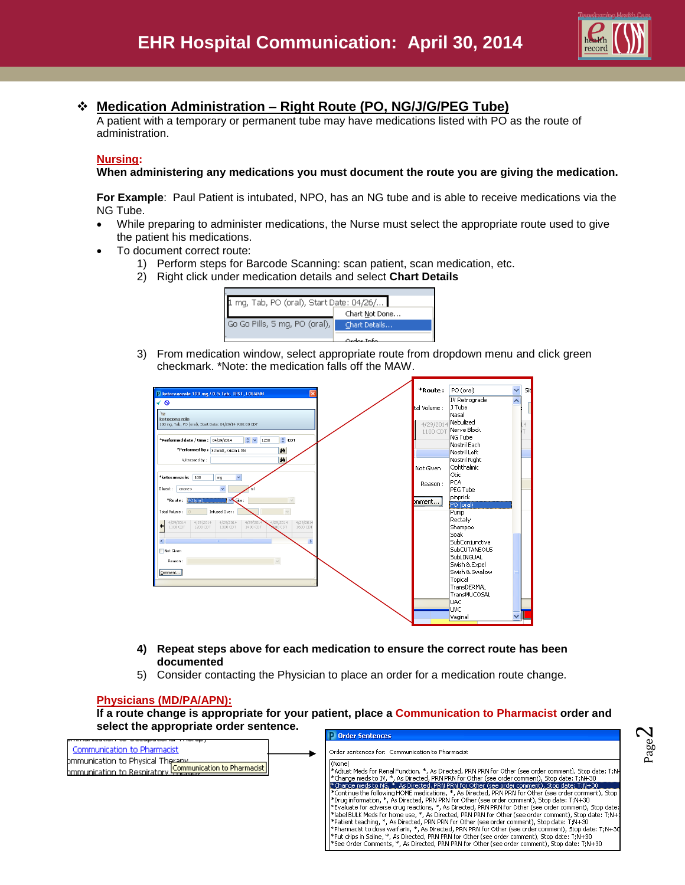

# **Medication Administration – Right Route (PO, NG/J/G/PEG Tube)**

A patient with a temporary or permanent tube may have medications listed with PO as the route of administration.

#### **Nursing:**

**When administering any medications you must document the route you are giving the medication.** 

**For Example**: Paul Patient is intubated, NPO, has an NG tube and is able to receive medications via the NG Tube.

- While preparing to administer medications, the Nurse must select the appropriate route used to give the patient his medications.
- To document correct route:
	- 1) Perform steps for Barcode Scanning: scan patient, scan medication, etc.
	- 2) Right click under medication details and select **Chart Details**



3) From medication window, select appropriate route from dropdown menu and click green checkmark. \*Note: the medication falls off the MAW.

| Retoconazole 100 mg / 0.5 Tab: TEST, LOUANN                                                                                                       | *Route:      | PO (oral)       | $\overline{\mathbf{v}}$ | Sit       |
|---------------------------------------------------------------------------------------------------------------------------------------------------|--------------|-----------------|-------------------------|-----------|
| √ o                                                                                                                                               |              | IV Retrograde   |                         |           |
|                                                                                                                                                   | tal Volume : | J Tube          |                         |           |
| ीस                                                                                                                                                |              | Nasal           |                         |           |
| ketoconazole<br>100 mg, Tab, PO (oral), Start Date: 04/29/14 9:00:00 CDT                                                                          | 4/29/2014    | Nebulized       |                         | $\vert$ 4 |
|                                                                                                                                                   | 1100 CDT     | Nerve Block     |                         |           |
| $\div$ CDT<br>$\frac{1}{2}$ v<br>*Performed date / time: 04/29/2014<br>1250                                                                       |              | NG Tube         |                         |           |
|                                                                                                                                                   |              | Nostril Each    |                         |           |
| *Performed by: Schmidt, Kristin L RN<br>荫                                                                                                         |              | Nostril Left    |                         |           |
| M <sub>a</sub><br>Witnessed by:                                                                                                                   |              | Nostril Right   |                         |           |
|                                                                                                                                                   | Not Given    | Ophthalmic      |                         |           |
| $\checkmark$<br>*ketoconazole: I<br>100<br>mg                                                                                                     |              | Otic            |                         |           |
|                                                                                                                                                   | Reason:      | <b>PCA</b>      |                         |           |
| $\checkmark$<br>Diluent: < < < < < < < < < < < < <<br>'n                                                                                          |              | <b>PEG Tube</b> |                         |           |
| *Route: PO (oral)<br>Ste:<br>$\sim$                                                                                                               | pmment       | pinprick        |                         |           |
|                                                                                                                                                   |              | PO (oral)       |                         |           |
| Total Volume : 0<br>Infused Over:<br>$\sim$                                                                                                       |              | Pump            |                         |           |
| 4/29/2014<br>4/29/2014<br>4/29/2014<br>4/29/2014<br>4/29/2014<br>4/29/2014<br>1100 CDT<br>1200 CDT<br>1400 CDT<br>COÓ CDT<br>1600 CDT<br>1300 CDT |              | Rectally        |                         |           |
|                                                                                                                                                   |              | Shampoo<br>Soak |                         |           |
| $\,$<br>×<br>m                                                                                                                                    |              | SubConjunctiva  |                         |           |
| Not Given                                                                                                                                         |              | SubCUTANEOUS    |                         |           |
|                                                                                                                                                   |              | SubLINGUAL      |                         |           |
| Reason:                                                                                                                                           |              | Swish & Expel   |                         |           |
| Comment                                                                                                                                           |              | Swish & Swallow |                         |           |
|                                                                                                                                                   |              | Topical         |                         |           |
|                                                                                                                                                   |              | TransDERMAL     |                         |           |
|                                                                                                                                                   |              | TransMUCOSAL    |                         |           |
|                                                                                                                                                   |              | UAC             |                         |           |
|                                                                                                                                                   |              | <b>UVC</b>      |                         |           |
|                                                                                                                                                   |              | Vaginal         |                         |           |
|                                                                                                                                                   |              |                 |                         |           |

- **4) Repeat steps above for each medication to ensure the correct route has been documented**
- 5) Consider contacting the Physician to place an order for a medication route change.

### **Physicians (MD/PA/APN):**

**If a route change is appropriate for your patient, place a Communication to Pharmacist order and select the appropriate order sentence.**

|                                                                                                                            | <b>Urder Sentences</b>                                                                                                                                                                                                                                                                                                                                                                                                                                                                                                                                                                                                                                                                                                                                                                                                                                                                                                                                                                                                                                                                                                                                                                                                              |
|----------------------------------------------------------------------------------------------------------------------------|-------------------------------------------------------------------------------------------------------------------------------------------------------------------------------------------------------------------------------------------------------------------------------------------------------------------------------------------------------------------------------------------------------------------------------------------------------------------------------------------------------------------------------------------------------------------------------------------------------------------------------------------------------------------------------------------------------------------------------------------------------------------------------------------------------------------------------------------------------------------------------------------------------------------------------------------------------------------------------------------------------------------------------------------------------------------------------------------------------------------------------------------------------------------------------------------------------------------------------------|
| Communication to Pharmacist<br>bmmunication to Physical Theranx<br>bmmunication to Respiratory Communication to Pharmacist | Order sentences for: Communication to Pharmacist<br>(None)<br>l*Adjust Meds for Renal Function, *, As Directed, PRN PRN for Other (see order comment), Stop date: T:N-l<br>*Change meds to IV, *, As Directed, PRN PRN for Other (see order comment), Stop date: T;N+30 <br>*Change meds to NG, *, As Directed, PRN PRN for Other (see order comment), Stop date: T;N+30<br>[*Continue the following HOME medications, *, As Directed, PRN PRN for Other (see order comment), Stop (<br>*Drug information, *, As Directed, PRN PRN for Other (see order comment), Stop date: T;N+30 <br>l*Evaluate for adverse drug reactions, *, As Directed, PRN PRN for Other (see order comment), Stop date: [<br>[*label BULK Meds for home use, *, As Directed, PRN PRN for Other (see order comment), Stop date: T:N+3<br>[*Patient teaching, *, As Directed, PRN PRN for Other (see order comment), Stop date: T;N+30 [<br>[*Pharmacist to dose warfarin, *, As Directed, PRN PRN for Other (see order comment), Stop date: T;N+30<br>Pept drips in Saline, *, As Directed, PRN PRN for Other (see order comment), Stop date: T:N+30"<br>30-11:Nee Order Comments, *, As Directed, PRN PRN for Other (see order comment). Stop date: T:N+30 |